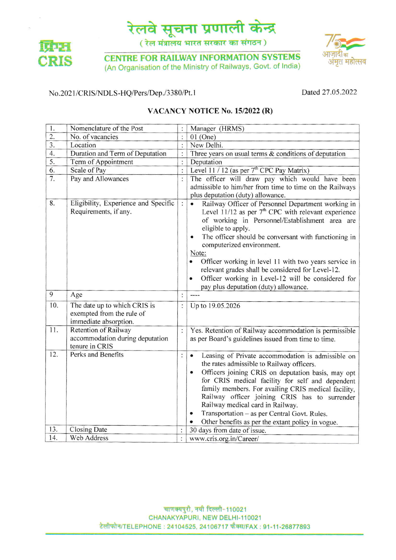

( रेल मंत्रालय भारत सरकार का संगठन)



**CENTRE FOR RAILWAY INFORMATION SYSTEMS** (An Organisation of the Ministry of Railways, Govt. of India)



## No.2021/CRIS/NDLS-HQ/Pers/Dep./3380/Pt.1

Dated 27.05.2022

### VACANCY NOTICE No. 15/2022 (R)

| 1.               | Nomenclature of the Post                                                           |                | Manager (HRMS)                                                                                                                                                                                                                                                                                                                                                                                                                                                                                              |
|------------------|------------------------------------------------------------------------------------|----------------|-------------------------------------------------------------------------------------------------------------------------------------------------------------------------------------------------------------------------------------------------------------------------------------------------------------------------------------------------------------------------------------------------------------------------------------------------------------------------------------------------------------|
| $\overline{2}$ . | No. of vacancies                                                                   | $\vdots$       | $01$ (One)                                                                                                                                                                                                                                                                                                                                                                                                                                                                                                  |
| 3.               | Location                                                                           | $\vdots$       | New Delhi.                                                                                                                                                                                                                                                                                                                                                                                                                                                                                                  |
| 4.               | Duration and Term of Deputation                                                    | $\vdots$       | Three years on usual terms $\&$ conditions of deputation                                                                                                                                                                                                                                                                                                                                                                                                                                                    |
| 5.               | Term of Appointment                                                                | $\colon$       | Deputation                                                                                                                                                                                                                                                                                                                                                                                                                                                                                                  |
| 6.               | Scale of Pay                                                                       | $\vdots$       | Level 11 / 12 (as per $7th$ CPC Pay Matrix)                                                                                                                                                                                                                                                                                                                                                                                                                                                                 |
| 7.               | Pay and Allowances                                                                 | $\vdots$       | The officer will draw pay which would have been<br>admissible to him/her from time to time on the Railways<br>plus deputation (duty) allowance.                                                                                                                                                                                                                                                                                                                                                             |
| 8.               | Eligibility, Experience and Specific<br>Requirements, if any.                      | $\ddot{\cdot}$ | Railway Officer of Personnel Department working in<br>Level 11/12 as per $7th$ CPC with relevant experience<br>of working in Personnel/Establishment area are<br>eligible to apply.<br>The officer should be conversant with functioning in<br>computerized environment.<br>Note:<br>Officer working in level 11 with two years service in<br>relevant grades shall be considered for Level-12.<br>Officer working in Level-12 will be considered for<br>$\bullet$<br>pay plus deputation (duty) allowance. |
| 9                | Age                                                                                | :              | $---$                                                                                                                                                                                                                                                                                                                                                                                                                                                                                                       |
| 10.              | The date up to which CRIS is<br>exempted from the rule of<br>immediate absorption. | $\vdots$       | Up to 19.05.2026                                                                                                                                                                                                                                                                                                                                                                                                                                                                                            |
| 11.              | Retention of Railway<br>accommodation during deputation<br>tenure in CRIS          | $\vdots$       | Yes. Retention of Railway accommodation is permissible<br>as per Board's guidelines issued from time to time.                                                                                                                                                                                                                                                                                                                                                                                               |
| 12.              | Perks and Benefits                                                                 | $\ddot{\cdot}$ | Leasing of Private accommodation is admissible on<br>$\bullet$<br>the rates admissible to Railway officers.<br>Officers joining CRIS on deputation basis, may opt<br>for CRIS medical facility for self and dependent<br>family members. For availing CRIS medical facility,<br>Railway officer joining CRIS has to surrender<br>Railway medical card in Railway.<br>Transportation - as per Central Govt. Rules.<br>$\bullet$<br>Other benefits as per the extant policy in vogue.                         |
| 13.              | Closing Date                                                                       |                | 30 days from date of issue.                                                                                                                                                                                                                                                                                                                                                                                                                                                                                 |
| 14.              | Web Address                                                                        | $\mathbf{.}$   | www.cris.org.in/Career/                                                                                                                                                                                                                                                                                                                                                                                                                                                                                     |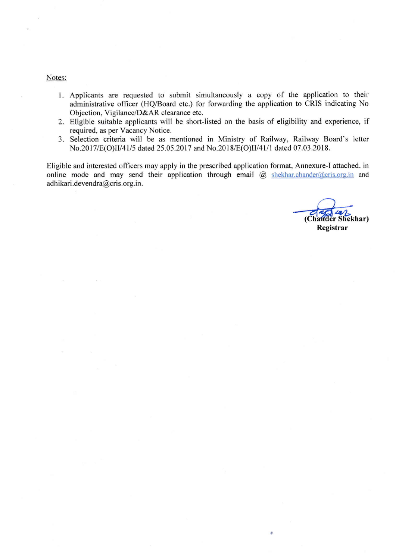#### Notes:

- l. Applicants are requested to submit simultaneously a copy of the application to their administrative officer (HQ/Board etc.) for forwarding the application to CRIS indicating No Objection, Vigilance/D&AR clearance etc.
- 2. Eligible suitable applicants will be short-listed on the basis of eligibility and experience, if required, as per Vacancy Notice.
- 3. Selection criteria will be as mentioned in Ministry of Railway, Railway Board's letter No.2017/E(O)II/41/5 dated 25.05.2017 and No.2018/E(O)II/41/1 dated 07.03.2018.

Eligible and interested officers may apply in the prescribed application format, Annexure-l attached. in online mode and may send their application through email  $\overline{a}$  shekhar.chander $\overline{a}$ cris.org.in and adh ikari.devendra@cris.org.in.

(Chander Shekhar) Registrar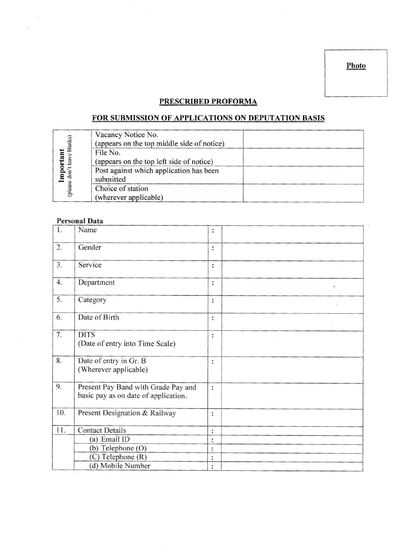Photo

# PRESCRIBED PROFORMA

# FOR SUBMISSION OF APPLICATIONS ON DEPUTATION BASIS

|          | Vacancy Notice No.                         |  |
|----------|--------------------------------------------|--|
| blanks)  | (appears on the top middle side of notice) |  |
|          | File No.                                   |  |
| leav     | (appears on the top left side of notice)   |  |
| ₽<br>don | Post against which application has been    |  |
|          | submitted                                  |  |
| (please  | Choice of station                          |  |
|          | (wherever applicable)                      |  |

#### Personal Data

| 1.  | Name                                                                        | :              |   |
|-----|-----------------------------------------------------------------------------|----------------|---|
| 2.  | Gender                                                                      | $\ddot{\cdot}$ |   |
| 3.  | Service                                                                     | :              |   |
| 4.  | Department                                                                  | $\ddot{\cdot}$ | ó |
| 5.  | Category                                                                    | :              |   |
| 6.  | Date of Birth                                                               | :              |   |
| 7.  | <b>DITS</b><br>(Date of entry into Time Scale)                              | :              |   |
| 8.  | Date of entry in Gr. B<br>(Wherever applicable)                             | :              |   |
| 9.  | Present Pay Band with Grade Pay and<br>basic pay as on date of application. | $\ddot{\cdot}$ |   |
| 10. | Present Designation & Railway                                               | :              |   |
| 11. | <b>Contact Details</b>                                                      | :              |   |
|     | (a) Email ID                                                                | :              |   |
|     | (b) Telephone (O)                                                           | :              |   |
|     | (C) Telephone (R)                                                           | $\vdots$       |   |
|     | (d) Mobile Number                                                           | :              |   |